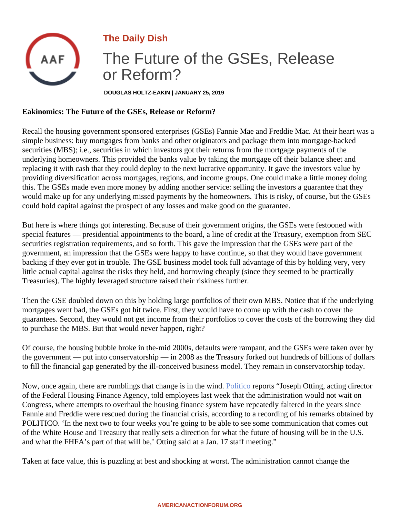The Daily Dish

## The Future of the GSEs, Release or Reform?

DOUGLAS HOLTZ-EAKIN | JANUARY 25, 2019

Eakinomics: The Future of the GSEs, Release or Reform?

Recall the housing government sponsored enterprises (GSEs) Fannie Mae and Freddie Mac. At their heart w simple business: buy mortgages from banks and other originators and package them into mortgage-backed securities (MBS); i.e., securities in which investors got their returns from the mortgage payments of the underlying homeowners. This provided the banks value by taking the mortgage off their balance sheet and replacing it with cash that they could deploy to the next lucrative opportunity. It gave the investors value by providing diversification across mortgages, regions, and income groups. One could make a little money doing this. The GSEs made even more money by adding another service: selling the investors a guarantee that the would make up for any underlying missed payments by the homeowners. This is risky, of course, but the GSE could hold capital against the prospect of any losses and make good on the guarantee.

But here is where things got interesting. Because of their government origins, the GSEs were festooned with special features — presidential appointments to the board, a line of credit at the Treasury, exemption from SE securities registration requirements, and so forth. This gave the impression that the GSEs were part of the government, an impression that the GSEs were happy to have continue, so that they would have government backing if they ever got in trouble. The GSE business model took full advantage of this by holding very, very little actual capital against the risks they held, and borrowing cheaply (since they seemed to be practically Treasuries). The highly leveraged structure raised their riskiness further.

Then the GSE doubled down on this by holding large portfolios of their own MBS. Notice that if the underlying mortgages went bad, the GSEs got hit twice. First, they would have to come up with the cash to cover the guarantees. Second, they would not get income from their portfolios to cover the costs of the borrowing they o to purchase the MBS. But that would never happen, right?

Of course, the housing bubble broke in the-mid 2000s, defaults were rampant, and the GSEs were taken ove the government — put into conservatorship — in 2008 as the Treasury forked out hundreds of billions of dollars to fill the financial gap generated by the ill-conceived business model. They remain in conservatorship today.

Now, once again, there are rumblings that change is in the **Runidco reports "Joseph Otting, acting director** of the Federal Housing Finance Agency, told employees last week that the administration would not wait on Congress, where attempts to overhaul the housing finance system have repeatedly faltered in the years since Fannie and Freddie were rescued during the financial crisis, according to a recording of his remarks obtained POLITICO. 'In the next two to four weeks you're going to be able to see some communication that comes out of the White House and Treasury that really sets a direction for what the future of housing will be in the U.S. and what the FHFA's part of that will be,' Otting said at a Jan. 17 staff meeting."

Taken at face value, this is puzzling at best and shocking at worst. The administration cannot change the